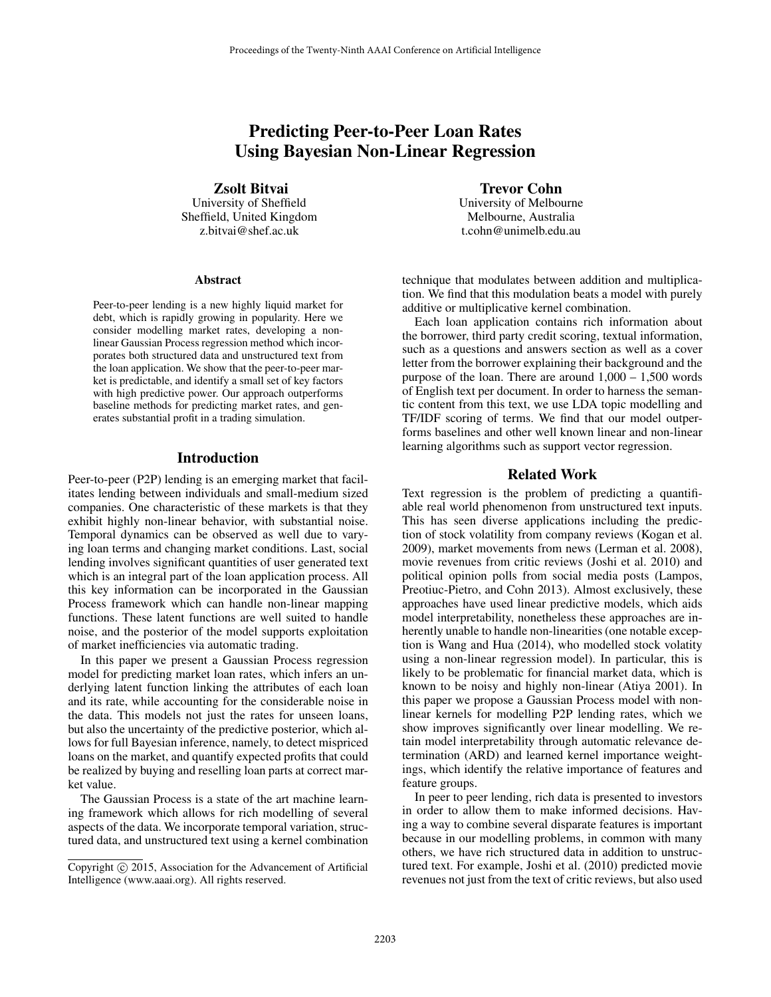# Predicting Peer-to-Peer Loan Rates Using Bayesian Non-Linear Regression

Zsolt Bitvai

University of Sheffield Sheffield, United Kingdom z.bitvai@shef.ac.uk

#### Abstract

Peer-to-peer lending is a new highly liquid market for debt, which is rapidly growing in popularity. Here we consider modelling market rates, developing a nonlinear Gaussian Process regression method which incorporates both structured data and unstructured text from the loan application. We show that the peer-to-peer market is predictable, and identify a small set of key factors with high predictive power. Our approach outperforms baseline methods for predicting market rates, and generates substantial profit in a trading simulation.

### Introduction

Peer-to-peer (P2P) lending is an emerging market that facilitates lending between individuals and small-medium sized companies. One characteristic of these markets is that they exhibit highly non-linear behavior, with substantial noise. Temporal dynamics can be observed as well due to varying loan terms and changing market conditions. Last, social lending involves significant quantities of user generated text which is an integral part of the loan application process. All this key information can be incorporated in the Gaussian Process framework which can handle non-linear mapping functions. These latent functions are well suited to handle noise, and the posterior of the model supports exploitation of market inefficiencies via automatic trading.

In this paper we present a Gaussian Process regression model for predicting market loan rates, which infers an underlying latent function linking the attributes of each loan and its rate, while accounting for the considerable noise in the data. This models not just the rates for unseen loans, but also the uncertainty of the predictive posterior, which allows for full Bayesian inference, namely, to detect mispriced loans on the market, and quantify expected profits that could be realized by buying and reselling loan parts at correct market value.

The Gaussian Process is a state of the art machine learning framework which allows for rich modelling of several aspects of the data. We incorporate temporal variation, structured data, and unstructured text using a kernel combination

Trevor Cohn University of Melbourne Melbourne, Australia t.cohn@unimelb.edu.au

technique that modulates between addition and multiplication. We find that this modulation beats a model with purely additive or multiplicative kernel combination.

Each loan application contains rich information about the borrower, third party credit scoring, textual information, such as a questions and answers section as well as a cover letter from the borrower explaining their background and the purpose of the loan. There are around  $1,000 - 1,500$  words of English text per document. In order to harness the semantic content from this text, we use LDA topic modelling and TF/IDF scoring of terms. We find that our model outperforms baselines and other well known linear and non-linear learning algorithms such as support vector regression.

#### Related Work

Text regression is the problem of predicting a quantifiable real world phenomenon from unstructured text inputs. This has seen diverse applications including the prediction of stock volatility from company reviews (Kogan et al. 2009), market movements from news (Lerman et al. 2008), movie revenues from critic reviews (Joshi et al. 2010) and political opinion polls from social media posts (Lampos, Preotiuc-Pietro, and Cohn 2013). Almost exclusively, these approaches have used linear predictive models, which aids model interpretability, nonetheless these approaches are inherently unable to handle non-linearities (one notable exception is Wang and Hua (2014), who modelled stock volatity using a non-linear regression model). In particular, this is likely to be problematic for financial market data, which is known to be noisy and highly non-linear (Atiya 2001). In this paper we propose a Gaussian Process model with nonlinear kernels for modelling P2P lending rates, which we show improves significantly over linear modelling. We retain model interpretability through automatic relevance determination (ARD) and learned kernel importance weightings, which identify the relative importance of features and feature groups.

In peer to peer lending, rich data is presented to investors in order to allow them to make informed decisions. Having a way to combine several disparate features is important because in our modelling problems, in common with many others, we have rich structured data in addition to unstructured text. For example, Joshi et al. (2010) predicted movie revenues not just from the text of critic reviews, but also used

Copyright  $\odot$  2015, Association for the Advancement of Artificial Intelligence (www.aaai.org). All rights reserved.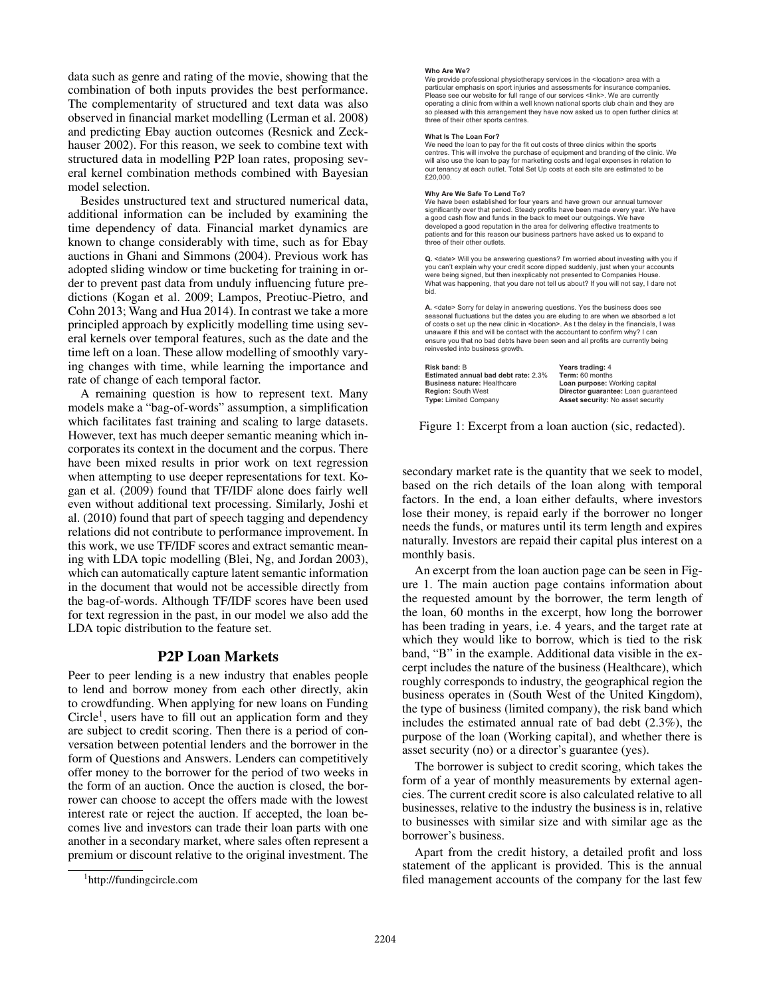data such as genre and rating of the movie, showing that the combination of both inputs provides the best performance. The complementarity of structured and text data was also observed in financial market modelling (Lerman et al. 2008) and predicting Ebay auction outcomes (Resnick and Zeckhauser 2002). For this reason, we seek to combine text with structured data in modelling P2P loan rates, proposing several kernel combination methods combined with Bayesian model selection.

Besides unstructured text and structured numerical data, additional information can be included by examining the time dependency of data. Financial market dynamics are known to change considerably with time, such as for Ebay auctions in Ghani and Simmons (2004). Previous work has adopted sliding window or time bucketing for training in order to prevent past data from unduly influencing future predictions (Kogan et al. 2009; Lampos, Preotiuc-Pietro, and Cohn 2013; Wang and Hua 2014). In contrast we take a more principled approach by explicitly modelling time using several kernels over temporal features, such as the date and the time left on a loan. These allow modelling of smoothly varying changes with time, while learning the importance and rate of change of each temporal factor.

A remaining question is how to represent text. Many models make a "bag-of-words" assumption, a simplification which facilitates fast training and scaling to large datasets. However, text has much deeper semantic meaning which incorporates its context in the document and the corpus. There have been mixed results in prior work on text regression when attempting to use deeper representations for text. Kogan et al. (2009) found that TF/IDF alone does fairly well even without additional text processing. Similarly, Joshi et al. (2010) found that part of speech tagging and dependency relations did not contribute to performance improvement. In this work, we use TF/IDF scores and extract semantic meaning with LDA topic modelling (Blei, Ng, and Jordan 2003), which can automatically capture latent semantic information in the document that would not be accessible directly from the bag-of-words. Although TF/IDF scores have been used for text regression in the past, in our model we also add the LDA topic distribution to the feature set.

# P2P Loan Markets

Peer to peer lending is a new industry that enables people to lend and borrow money from each other directly, akin to crowdfunding. When applying for new loans on Funding  $Circle<sup>1</sup>$ , users have to fill out an application form and they are subject to credit scoring. Then there is a period of conversation between potential lenders and the borrower in the form of Questions and Answers. Lenders can competitively offer money to the borrower for the period of two weeks in the form of an auction. Once the auction is closed, the borrower can choose to accept the offers made with the lowest interest rate or reject the auction. If accepted, the loan becomes live and investors can trade their loan parts with one another in a secondary market, where sales often represent a premium or discount relative to the original investment. The

#### **Who Are We?**

We provide professional physiotherapy services in the <location> area with a particular emphasis on sport injuries and assessments for insurance companies PERSONAL SUPPRESS OF PERSONAL BIRSUZHERS CONTROLLING OF INTERNATIONAL PROBLEMS. operating a clinic from within a well known national sports club chain and they are so pleased with this arrangement they have now asked us to open further clinics a od with this arrangement they have now asked us to open further clinics at three of their other sports centres.

#### **What Is The Loan For?**

We need the loan to pay for the fit out costs of three clinics within the sports<br>centres. This will involve the purchase of equipment and branding of the clinic. We will also use the loan to pay for marketing costs and legal expenses in relation to our tenancy at each outlet. Total Set Up costs at each site are estimated to be £20,000

#### **Why Are We Safe To Lend To?**

We have been established for four years and have grown our annual turnover VLADE DEED CONDITIONS ON THE VALUE OF THE REPORT OF THE REPORT OF THE REPORT OF THE REPORT OF THE REPORT OF THE REPORT OF THE REPORT OF THE REPORT OF THE REPORT OF THE REPORT OF THE REPORT OF THE REPORT OF THE REPORT OF TH a good cash flow and funds in the back to meet our outgoings. We have<br>developed a good reputation in the area for delivering effective treatments to patients and for this reason our business partners have asked us to expand to three of their other outlets.

Q. <date> Will you be answering questions? I'm worried about investing with you if you can't explain why your credit score dipped suddenly, just when your accounts<br>were being signed, but then inexplicably not presented to Companies House. What was happening, that you dare not tell us about? If you will not say, I dare not hid

**A.** <date> Sorry for delay in answering questions. Yes the business does see<br>seasonal fluctuations but the dates you are eluding to are when we absorbed a lot of costs o set up the new clinic in < location>. As t the delay in the financials, I was unaware if this and will be contact with the accountant to confirm why? I can ensure you that no bad debts have been seen and all profits are currently being reinvested into business growth.

**Risk band: B Estimated annual bad debt rate: 2.3% Business nature: Healthcare Region:** South West **Type: Limited Company** 

**Years trading:** 4<br>**Term:** 60 months **Loan purpose:** Working capital Director guarantee: Loan guaranteed **Asset security:** No asset security

Figure 1: Excerpt from a loan auction (sic, redacted).

secondary market rate is the quantity that we seek to model, based on the rich details of the loan along with temporal factors. In the end, a loan either defaults, where investors lose their money, is repaid early if the borrower no longer needs the funds, or matures until its term length and expires naturally. Investors are repaid their capital plus interest on a monthly basis.

An excerpt from the loan auction page can be seen in Figure 1. The main auction page contains information about the requested amount by the borrower, the term length of the loan, 60 months in the excerpt, how long the borrower has been trading in years, i.e. 4 years, and the target rate at which they would like to borrow, which is tied to the risk band, "B" in the example. Additional data visible in the excerpt includes the nature of the business (Healthcare), which roughly corresponds to industry, the geographical region the business operates in (South West of the United Kingdom), the type of business (limited company), the risk band which includes the estimated annual rate of bad debt (2.3%), the purpose of the loan (Working capital), and whether there is asset security (no) or a director's guarantee (yes).

The borrower is subject to credit scoring, which takes the form of a year of monthly measurements by external agencies. The current credit score is also calculated relative to all businesses, relative to the industry the business is in, relative to businesses with similar size and with similar age as the borrower's business.

Apart from the credit history, a detailed profit and loss statement of the applicant is provided. This is the annual filed management accounts of the company for the last few

<sup>1</sup> http://fundingcircle.com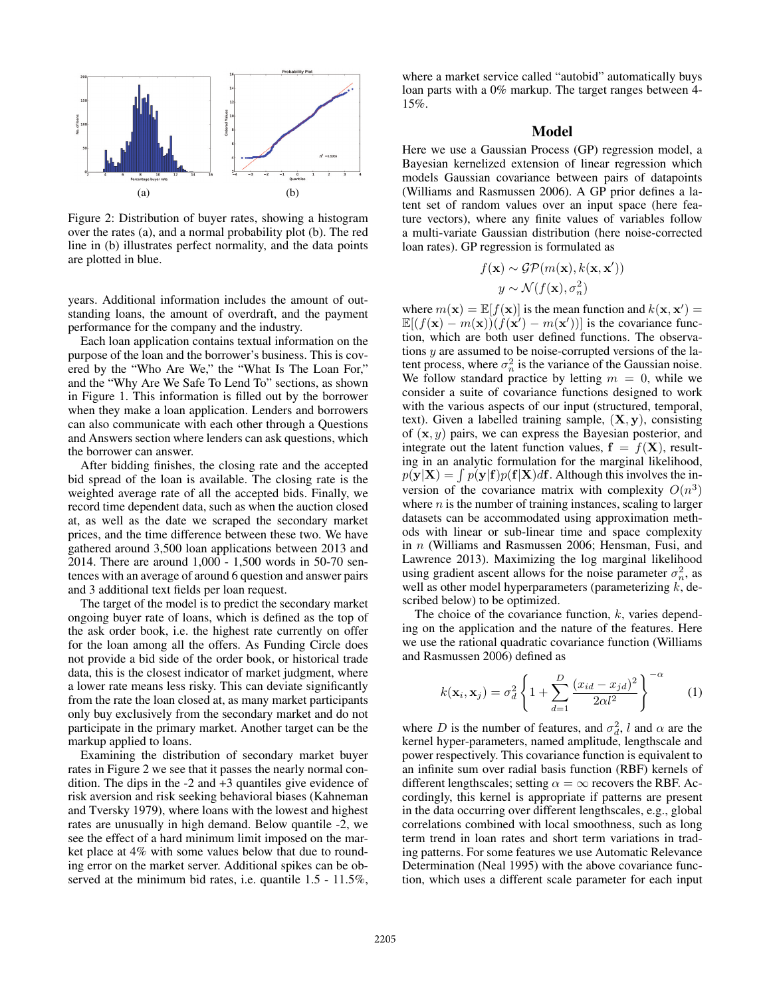

Figure 2: Distribution of buyer rates, showing a histogram over the rates (a), and a normal probability plot (b). The red line in (b) illustrates perfect normality, and the data points are plotted in blue.

years. Additional information includes the amount of outstanding loans, the amount of overdraft, and the payment performance for the company and the industry.

Each loan application contains textual information on the purpose of the loan and the borrower's business. This is covered by the "Who Are We," the "What Is The Loan For," and the "Why Are We Safe To Lend To" sections, as shown in Figure 1. This information is filled out by the borrower when they make a loan application. Lenders and borrowers can also communicate with each other through a Questions and Answers section where lenders can ask questions, which the borrower can answer.

After bidding finishes, the closing rate and the accepted bid spread of the loan is available. The closing rate is the weighted average rate of all the accepted bids. Finally, we record time dependent data, such as when the auction closed at, as well as the date we scraped the secondary market prices, and the time difference between these two. We have gathered around 3,500 loan applications between 2013 and 2014. There are around 1,000 - 1,500 words in 50-70 sentences with an average of around 6 question and answer pairs and 3 additional text fields per loan request.

The target of the model is to predict the secondary market ongoing buyer rate of loans, which is defined as the top of the ask order book, i.e. the highest rate currently on offer for the loan among all the offers. As Funding Circle does not provide a bid side of the order book, or historical trade data, this is the closest indicator of market judgment, where a lower rate means less risky. This can deviate significantly from the rate the loan closed at, as many market participants only buy exclusively from the secondary market and do not participate in the primary market. Another target can be the markup applied to loans.

Examining the distribution of secondary market buyer rates in Figure 2 we see that it passes the nearly normal condition. The dips in the -2 and +3 quantiles give evidence of risk aversion and risk seeking behavioral biases (Kahneman and Tversky 1979), where loans with the lowest and highest rates are unusually in high demand. Below quantile -2, we see the effect of a hard minimum limit imposed on the market place at 4% with some values below that due to rounding error on the market server. Additional spikes can be observed at the minimum bid rates, i.e. quantile  $1.5 - 11.5\%$ ,

where a market service called "autobid" automatically buys loan parts with a 0% markup. The target ranges between 4- 15%.

### Model

Here we use a Gaussian Process (GP) regression model, a Bayesian kernelized extension of linear regression which models Gaussian covariance between pairs of datapoints (Williams and Rasmussen 2006). A GP prior defines a latent set of random values over an input space (here feature vectors), where any finite values of variables follow a multi-variate Gaussian distribution (here noise-corrected loan rates). GP regression is formulated as

$$
f(\mathbf{x}) \sim \mathcal{GP}(m(\mathbf{x}), k(\mathbf{x}, \mathbf{x}'))
$$

$$
y \sim \mathcal{N}(f(\mathbf{x}), \sigma_n^2)
$$

where  $m(\mathbf{x}) = \mathbb{E}[f(\mathbf{x})]$  is the mean function and  $k(\mathbf{x}, \mathbf{x}') =$  $\mathbb{E}[(f(\mathbf{x}) - m(\mathbf{x})) (f(\mathbf{x}') - m(\mathbf{x}'))]$  is the covariance function, which are both user defined functions. The observations y are assumed to be noise-corrupted versions of the latent process, where  $\sigma_n^2$  is the variance of the Gaussian noise. We follow standard practice by letting  $m = 0$ , while we consider a suite of covariance functions designed to work with the various aspects of our input (structured, temporal, text). Given a labelled training sample, (**X**, **y**), consisting of (**x**, y) pairs, we can express the Bayesian posterior, and integrate out the latent function values,  $f = f(X)$ , resulting in an analytic formulation for the marginal likelihood,  $p(\mathbf{y}|\mathbf{X}) = \int p(\mathbf{y}|\mathbf{f})p(\mathbf{f}|\mathbf{X})d\mathbf{f}$ . Although this involves the inversion of the covariance matrix with complexity  $O(n^3)$ where  $n$  is the number of training instances, scaling to larger datasets can be accommodated using approximation methods with linear or sub-linear time and space complexity in n (Williams and Rasmussen 2006; Hensman, Fusi, and Lawrence 2013). Maximizing the log marginal likelihood using gradient ascent allows for the noise parameter  $\sigma_n^2$ , as well as other model hyperparameters (parameterizing  $k$ , described below) to be optimized.

The choice of the covariance function,  $k$ , varies depending on the application and the nature of the features. Here we use the rational quadratic covariance function (Williams and Rasmussen 2006) defined as

$$
k(\mathbf{x}_i, \mathbf{x}_j) = \sigma_d^2 \left\{ 1 + \sum_{d=1}^{D} \frac{(x_{id} - x_{jd})^2}{2\alpha l^2} \right\}^{-\alpha}
$$
 (1)

where D is the number of features, and  $\sigma_d^2$ , l and  $\alpha$  are the kernel hyper-parameters, named amplitude, lengthscale and power respectively. This covariance function is equivalent to an infinite sum over radial basis function (RBF) kernels of different lengthscales; setting  $\alpha = \infty$  recovers the RBF. Accordingly, this kernel is appropriate if patterns are present in the data occurring over different lengthscales, e.g., global correlations combined with local smoothness, such as long term trend in loan rates and short term variations in trading patterns. For some features we use Automatic Relevance Determination (Neal 1995) with the above covariance function, which uses a different scale parameter for each input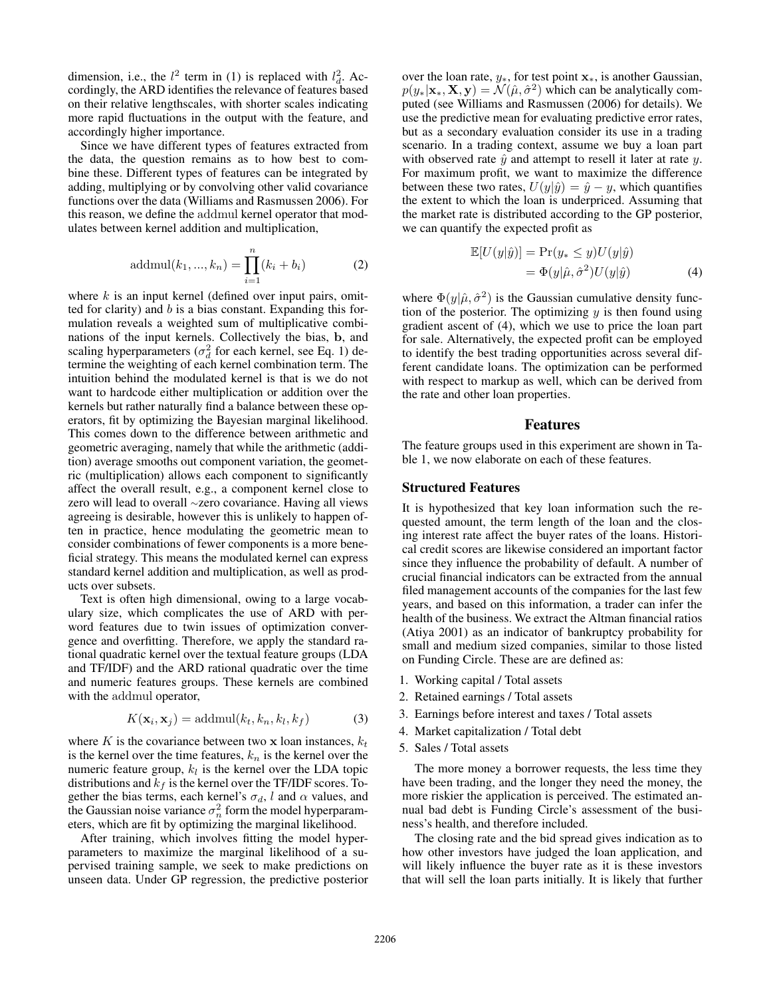dimension, i.e., the  $l^2$  term in (1) is replaced with  $l_d^2$ . Accordingly, the ARD identifies the relevance of features based on their relative lengthscales, with shorter scales indicating more rapid fluctuations in the output with the feature, and accordingly higher importance.

Since we have different types of features extracted from the data, the question remains as to how best to combine these. Different types of features can be integrated by adding, multiplying or by convolving other valid covariance functions over the data (Williams and Rasmussen 2006). For this reason, we define the addmul kernel operator that modulates between kernel addition and multiplication,

addmul
$$
(k_1, ..., k_n)
$$
 = 
$$
\prod_{i=1}^{n} (k_i + b_i)
$$
 (2)

where  $k$  is an input kernel (defined over input pairs, omitted for clarity) and  $b$  is a bias constant. Expanding this formulation reveals a weighted sum of multiplicative combinations of the input kernels. Collectively the bias, **b**, and scaling hyperparameters ( $\sigma_d^2$  for each kernel, see Eq. 1) determine the weighting of each kernel combination term. The intuition behind the modulated kernel is that is we do not want to hardcode either multiplication or addition over the kernels but rather naturally find a balance between these operators, fit by optimizing the Bayesian marginal likelihood. This comes down to the difference between arithmetic and geometric averaging, namely that while the arithmetic (addition) average smooths out component variation, the geometric (multiplication) allows each component to significantly affect the overall result, e.g., a component kernel close to zero will lead to overall <sup>∼</sup>zero covariance. Having all views agreeing is desirable, however this is unlikely to happen often in practice, hence modulating the geometric mean to consider combinations of fewer components is a more beneficial strategy. This means the modulated kernel can express standard kernel addition and multiplication, as well as products over subsets.

Text is often high dimensional, owing to a large vocabulary size, which complicates the use of ARD with perword features due to twin issues of optimization convergence and overfitting. Therefore, we apply the standard rational quadratic kernel over the textual feature groups (LDA and TF/IDF) and the ARD rational quadratic over the time and numeric features groups. These kernels are combined with the addmul operator,

$$
K(\mathbf{x}_i, \mathbf{x}_j) = \text{addmul}(k_t, k_n, k_l, k_f)
$$
 (3)

where K is the covariance between two  $x$  loan instances,  $k_t$ is the kernel over the time features,  $k_n$  is the kernel over the numeric feature group,  $k_l$  is the kernel over the LDA topic distributions and  $k_f$  is the kernel over the TF/IDF scores. Together the bias terms, each kernel's  $\sigma_d$ , l and  $\alpha$  values, and the Gaussian noise variance  $\sigma_n^2$  form the model hyperparameters, which are fit by optimizing the marginal likelihood.

After training, which involves fitting the model hyperparameters to maximize the marginal likelihood of a supervised training sample, we seek to make predictions on unseen data. Under GP regression, the predictive posterior

over the loan rate, <sup>y</sup>∗, for test point **<sup>x</sup>**∗, is another Gaussian,  $p(y_*|\mathbf{x}_*, \mathbf{X}, \mathbf{y}) = \mathcal{N}(\hat{\mu}, \hat{\sigma}^2)$  which can be analytically computed (see Williams and Rasmussen (2006) for details). We use the predictive mean for evaluating predictive error rates, but as a secondary evaluation consider its use in a trading scenario. In a trading context, assume we buy a loan part with observed rate  $\hat{y}$  and attempt to resell it later at rate y. For maximum profit, we want to maximize the difference between these two rates,  $U(y|\hat{y})=\hat{y}-y$ , which quantifies the extent to which the loan is underpriced. Assuming that the market rate is distributed according to the GP posterior, we can quantify the expected profit as

$$
\mathbb{E}[U(y|\hat{y})] = \Pr(y_* \le y)U(y|\hat{y})\n= \Phi(y|\hat{\mu}, \hat{\sigma}^2)U(y|\hat{y})
$$
\n(4)

where  $\Phi(y|\hat{\mu}, \hat{\sigma}^2)$  is the Gaussian cumulative density function of the posterior. The optimizing  $y$  is then found using gradient ascent of (4), which we use to price the loan part for sale. Alternatively, the expected profit can be employed to identify the best trading opportunities across several different candidate loans. The optimization can be performed with respect to markup as well, which can be derived from the rate and other loan properties.

#### Features

The feature groups used in this experiment are shown in Table 1, we now elaborate on each of these features.

### Structured Features

It is hypothesized that key loan information such the requested amount, the term length of the loan and the closing interest rate affect the buyer rates of the loans. Historical credit scores are likewise considered an important factor since they influence the probability of default. A number of crucial financial indicators can be extracted from the annual filed management accounts of the companies for the last few years, and based on this information, a trader can infer the health of the business. We extract the Altman financial ratios (Atiya 2001) as an indicator of bankruptcy probability for small and medium sized companies, similar to those listed on Funding Circle. These are are defined as:

- 1. Working capital / Total assets
- 2. Retained earnings / Total assets
- 3. Earnings before interest and taxes / Total assets
- 4. Market capitalization / Total debt
- 5. Sales / Total assets

The more money a borrower requests, the less time they have been trading, and the longer they need the money, the more riskier the application is perceived. The estimated annual bad debt is Funding Circle's assessment of the business's health, and therefore included.

The closing rate and the bid spread gives indication as to how other investors have judged the loan application, and will likely influence the buyer rate as it is these investors that will sell the loan parts initially. It is likely that further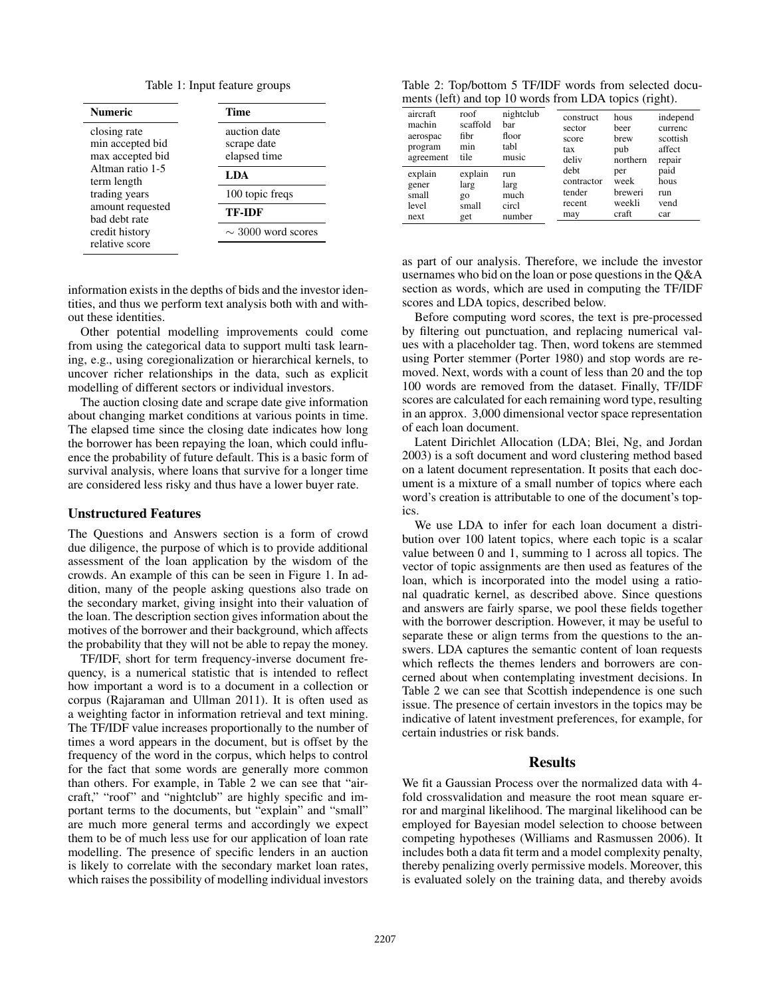|  |  |  | Table 1: Input feature groups |  |
|--|--|--|-------------------------------|--|
|--|--|--|-------------------------------|--|

| <b>Numeric</b>                                       | Time<br>auction date<br>scrape date<br>elapsed time<br>LDA |  |  |
|------------------------------------------------------|------------------------------------------------------------|--|--|
| closing rate<br>min accepted bid<br>max accepted bid |                                                            |  |  |
| Altman ratio 1-5<br>term length                      |                                                            |  |  |
| trading years                                        | 100 topic freqs                                            |  |  |
| amount requested<br>bad debt rate                    | <b>TF-IDF</b>                                              |  |  |
| credit history<br>relative score                     | $\sim$ 3000 word scores                                    |  |  |

information exists in the depths of bids and the investor identities, and thus we perform text analysis both with and without these identities.

Other potential modelling improvements could come from using the categorical data to support multi task learning, e.g., using coregionalization or hierarchical kernels, to uncover richer relationships in the data, such as explicit modelling of different sectors or individual investors.

The auction closing date and scrape date give information about changing market conditions at various points in time. The elapsed time since the closing date indicates how long the borrower has been repaying the loan, which could influence the probability of future default. This is a basic form of survival analysis, where loans that survive for a longer time are considered less risky and thus have a lower buyer rate.

#### Unstructured Features

The Questions and Answers section is a form of crowd due diligence, the purpose of which is to provide additional assessment of the loan application by the wisdom of the crowds. An example of this can be seen in Figure 1. In addition, many of the people asking questions also trade on the secondary market, giving insight into their valuation of the loan. The description section gives information about the motives of the borrower and their background, which affects the probability that they will not be able to repay the money.

TF/IDF, short for term frequency-inverse document frequency, is a numerical statistic that is intended to reflect how important a word is to a document in a collection or corpus (Rajaraman and Ullman 2011). It is often used as a weighting factor in information retrieval and text mining. The TF/IDF value increases proportionally to the number of times a word appears in the document, but is offset by the frequency of the word in the corpus, which helps to control for the fact that some words are generally more common than others. For example, in Table 2 we can see that "aircraft," "roof" and "nightclub" are highly specific and important terms to the documents, but "explain" and "small" are much more general terms and accordingly we expect them to be of much less use for our application of loan rate modelling. The presence of specific lenders in an auction is likely to correlate with the secondary market loan rates, which raises the possibility of modelling individual investors

|  |  | Table 2: Top/bottom 5 TF/IDF words from selected docu- |  |  |
|--|--|--------------------------------------------------------|--|--|
|  |  | ments (left) and top 10 words from LDA topics (right). |  |  |

| aircraft  | roof     | nightclub | construct  | hous     | independ |
|-----------|----------|-----------|------------|----------|----------|
| machin    | scaffold | bar       | sector     | beer     | currenc  |
| aerospac  | fibr     | floor     | score      | brew     | scottish |
| program   | min      | tabl      | tax        | pub      | affect   |
| agreement | tile     | music     | deliv      | northern | repair   |
| explain   | explain  | run       | debt       | per      | paid     |
| gener     | larg     | larg      | contractor | week     | hous     |
| small     | $g_0$    | much      | tender     | breweri  | run      |
| level     | small    | circl     | recent     | weekli   | vend     |
| next      | get      | number    | may        | craft    | car      |

as part of our analysis. Therefore, we include the investor usernames who bid on the loan or pose questions in the Q&A section as words, which are used in computing the TF/IDF scores and LDA topics, described below.

Before computing word scores, the text is pre-processed by filtering out punctuation, and replacing numerical values with a placeholder tag. Then, word tokens are stemmed using Porter stemmer (Porter 1980) and stop words are removed. Next, words with a count of less than 20 and the top 100 words are removed from the dataset. Finally, TF/IDF scores are calculated for each remaining word type, resulting in an approx. 3,000 dimensional vector space representation of each loan document.

Latent Dirichlet Allocation (LDA; Blei, Ng, and Jordan 2003) is a soft document and word clustering method based on a latent document representation. It posits that each document is a mixture of a small number of topics where each word's creation is attributable to one of the document's topics.

We use LDA to infer for each loan document a distribution over 100 latent topics, where each topic is a scalar value between 0 and 1, summing to 1 across all topics. The vector of topic assignments are then used as features of the loan, which is incorporated into the model using a rational quadratic kernel, as described above. Since questions and answers are fairly sparse, we pool these fields together with the borrower description. However, it may be useful to separate these or align terms from the questions to the answers. LDA captures the semantic content of loan requests which reflects the themes lenders and borrowers are concerned about when contemplating investment decisions. In Table 2 we can see that Scottish independence is one such issue. The presence of certain investors in the topics may be indicative of latent investment preferences, for example, for certain industries or risk bands.

#### Results

We fit a Gaussian Process over the normalized data with 4 fold crossvalidation and measure the root mean square error and marginal likelihood. The marginal likelihood can be employed for Bayesian model selection to choose between competing hypotheses (Williams and Rasmussen 2006). It includes both a data fit term and a model complexity penalty, thereby penalizing overly permissive models. Moreover, this is evaluated solely on the training data, and thereby avoids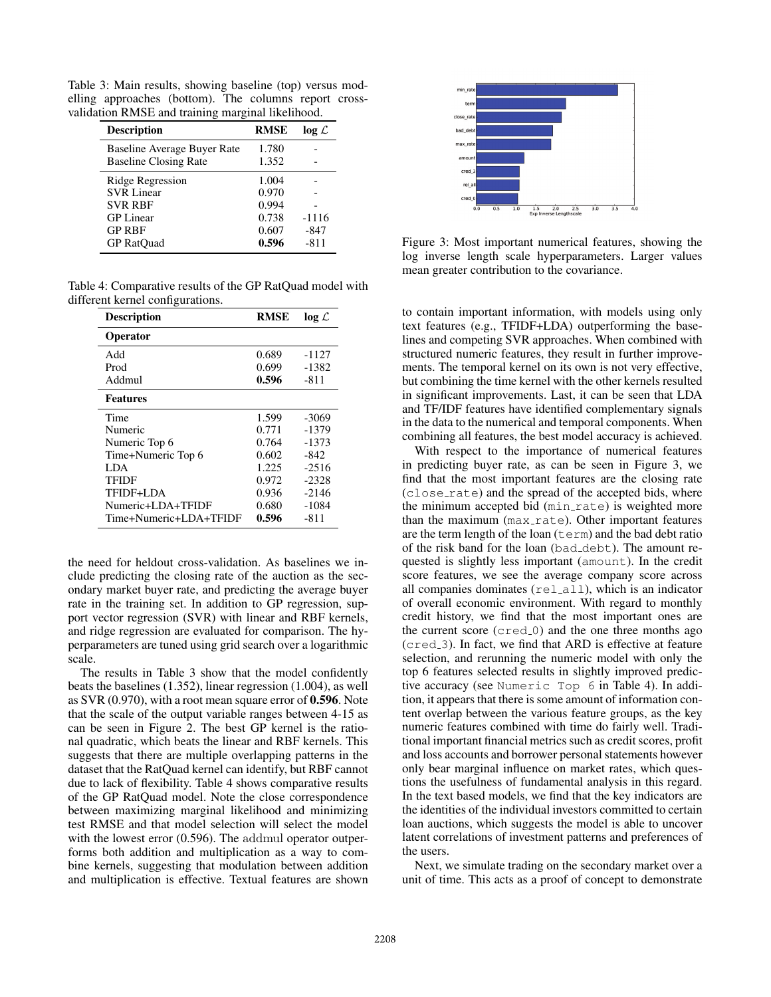Table 3: Main results, showing baseline (top) versus modelling approaches (bottom). The columns report crossvalidation RMSE and training marginal likelihood.

| <b>Description</b>                                          | <b>RMSE</b>    | $log \mathcal{L}$ |
|-------------------------------------------------------------|----------------|-------------------|
| Baseline Average Buyer Rate<br><b>Baseline Closing Rate</b> | 1.780<br>1.352 |                   |
| Ridge Regression                                            | 1.004          |                   |
| <b>SVR Linear</b><br><b>SVR RBF</b>                         | 0.970<br>0.994 |                   |
| <b>GP</b> Linear<br><b>GP RBF</b>                           | 0.738<br>0.607 | -1116<br>-847     |
| <b>GP</b> RatOuad                                           | 0.596          | $-811$            |

Table 4: Comparative results of the GP RatQuad model with different kernel configurations.

| <b>Description</b>     | <b>RMSE</b> | $log \mathcal{L}$ |
|------------------------|-------------|-------------------|
| <b>Operator</b>        |             |                   |
| Add                    | 0.689       | $-1127$           |
| Prod                   | 0.699       | -1382             |
| Addmul                 | 0.596       | $-811$            |
| <b>Features</b>        |             |                   |
| Time                   | 1.599       | $-3069$           |
| Numeric                | 0.771       | -1379             |
| Numeric Top 6          | 0.764       | -1373             |
| Time+Numeric Top 6     | 0.602       | $-842$            |
| LDA.                   | 1.225       | $-2516$           |
| TFIDF                  | 0.972       | $-2328$           |
| TFIDF+LDA              | 0.936       | $-2146$           |
| Numeric+LDA+TFIDF      | 0.680       | -1084             |
| Time+Numeric+LDA+TFIDF | 0.596       | $-811$            |

the need for heldout cross-validation. As baselines we include predicting the closing rate of the auction as the secondary market buyer rate, and predicting the average buyer rate in the training set. In addition to GP regression, support vector regression (SVR) with linear and RBF kernels, and ridge regression are evaluated for comparison. The hyperparameters are tuned using grid search over a logarithmic scale.

The results in Table 3 show that the model confidently beats the baselines (1.352), linear regression (1.004), as well as SVR (0.970), with a root mean square error of 0.596. Note that the scale of the output variable ranges between 4-15 as can be seen in Figure 2. The best GP kernel is the rational quadratic, which beats the linear and RBF kernels. This suggests that there are multiple overlapping patterns in the dataset that the RatQuad kernel can identify, but RBF cannot due to lack of flexibility. Table 4 shows comparative results of the GP RatQuad model. Note the close correspondence between maximizing marginal likelihood and minimizing test RMSE and that model selection will select the model with the lowest error (0.596). The addmul operator outperforms both addition and multiplication as a way to combine kernels, suggesting that modulation between addition and multiplication is effective. Textual features are shown



Figure 3: Most important numerical features, showing the log inverse length scale hyperparameters. Larger values mean greater contribution to the covariance.

to contain important information, with models using only text features (e.g., TFIDF+LDA) outperforming the baselines and competing SVR approaches. When combined with structured numeric features, they result in further improvements. The temporal kernel on its own is not very effective, but combining the time kernel with the other kernels resulted in significant improvements. Last, it can be seen that LDA and TF/IDF features have identified complementary signals in the data to the numerical and temporal components. When combining all features, the best model accuracy is achieved.

With respect to the importance of numerical features in predicting buyer rate, as can be seen in Figure 3, we find that the most important features are the closing rate (close rate) and the spread of the accepted bids, where the minimum accepted bid (min\_rate) is weighted more than the maximum (max\_rate). Other important features are the term length of the loan  $(\text{term})$  and the bad debt ratio of the risk band for the loan (bad debt). The amount requested is slightly less important (amount). In the credit score features, we see the average company score across all companies dominates (rel\_all), which is an indicator of overall economic environment. With regard to monthly credit history, we find that the most important ones are the current score  $(\text{cred}_0)$  and the one three months ago (cred 3). In fact, we find that ARD is effective at feature selection, and rerunning the numeric model with only the top 6 features selected results in slightly improved predictive accuracy (see Numeric Top 6 in Table 4). In addition, it appears that there is some amount of information content overlap between the various feature groups, as the key numeric features combined with time do fairly well. Traditional important financial metrics such as credit scores, profit and loss accounts and borrower personal statements however only bear marginal influence on market rates, which questions the usefulness of fundamental analysis in this regard. In the text based models, we find that the key indicators are the identities of the individual investors committed to certain loan auctions, which suggests the model is able to uncover latent correlations of investment patterns and preferences of the users.

Next, we simulate trading on the secondary market over a unit of time. This acts as a proof of concept to demonstrate